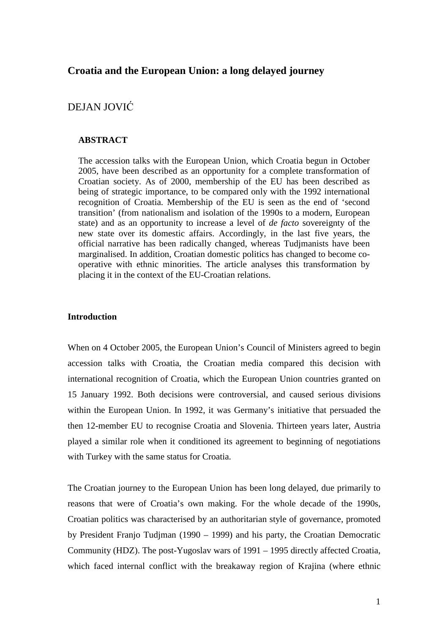## **Croatia and the European Union: a long delayed journey**

# DEJAN JOVIĆ

#### **ABSTRACT**

The accession talks with the European Union, which Croatia begun in October 2005, have been described as an opportunity for a complete transformation of Croatian society. As of 2000, membership of the EU has been described as being of strategic importance, to be compared only with the 1992 international recognition of Croatia. Membership of the EU is seen as the end of 'second transition' (from nationalism and isolation of the 1990s to a modern, European state) and as an opportunity to increase a level of *de facto* sovereignty of the new state over its domestic affairs. Accordingly, in the last five years, the official narrative has been radically changed, whereas Tudjmanists have been marginalised. In addition, Croatian domestic politics has changed to become cooperative with ethnic minorities. The article analyses this transformation by placing it in the context of the EU-Croatian relations.

#### **Introduction**

When on 4 October 2005, the European Union's Council of Ministers agreed to begin accession talks with Croatia, the Croatian media compared this decision with international recognition of Croatia, which the European Union countries granted on 15 January 1992. Both decisions were controversial, and caused serious divisions within the European Union. In 1992, it was Germany's initiative that persuaded the then 12-member EU to recognise Croatia and Slovenia. Thirteen years later, Austria played a similar role when it conditioned its agreement to beginning of negotiations with Turkey with the same status for Croatia.

The Croatian journey to the European Union has been long delayed, due primarily to reasons that were of Croatia's own making. For the whole decade of the 1990s, Croatian politics was characterised by an authoritarian style of governance, promoted by President Franjo Tudjman (1990 – 1999) and his party, the Croatian Democratic Community (HDZ). The post-Yugoslav wars of 1991 – 1995 directly affected Croatia, which faced internal conflict with the breakaway region of Krajina (where ethnic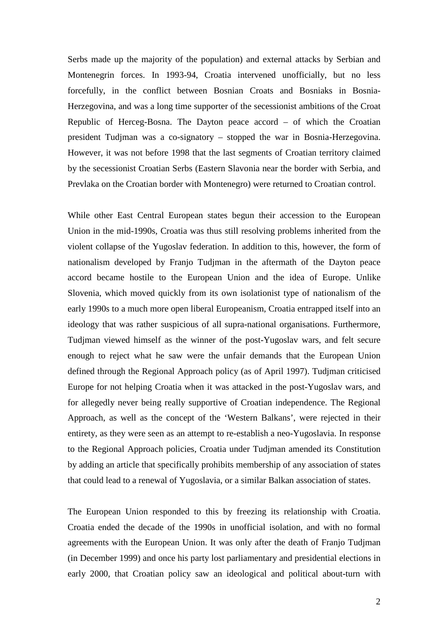Serbs made up the majority of the population) and external attacks by Serbian and Montenegrin forces. In 1993-94, Croatia intervened unofficially, but no less forcefully, in the conflict between Bosnian Croats and Bosniaks in Bosnia-Herzegovina, and was a long time supporter of the secessionist ambitions of the Croat Republic of Herceg-Bosna. The Dayton peace accord – of which the Croatian president Tudjman was a co-signatory – stopped the war in Bosnia-Herzegovina. However, it was not before 1998 that the last segments of Croatian territory claimed by the secessionist Croatian Serbs (Eastern Slavonia near the border with Serbia, and Prevlaka on the Croatian border with Montenegro) were returned to Croatian control.

While other East Central European states begun their accession to the European Union in the mid-1990s, Croatia was thus still resolving problems inherited from the violent collapse of the Yugoslav federation. In addition to this, however, the form of nationalism developed by Franjo Tudjman in the aftermath of the Dayton peace accord became hostile to the European Union and the idea of Europe. Unlike Slovenia, which moved quickly from its own isolationist type of nationalism of the early 1990s to a much more open liberal Europeanism, Croatia entrapped itself into an ideology that was rather suspicious of all supra-national organisations. Furthermore, Tudjman viewed himself as the winner of the post-Yugoslav wars, and felt secure enough to reject what he saw were the unfair demands that the European Union defined through the Regional Approach policy (as of April 1997). Tudjman criticised Europe for not helping Croatia when it was attacked in the post-Yugoslav wars, and for allegedly never being really supportive of Croatian independence. The Regional Approach, as well as the concept of the 'Western Balkans', were rejected in their entirety, as they were seen as an attempt to re-establish a neo-Yugoslavia. In response to the Regional Approach policies, Croatia under Tudjman amended its Constitution by adding an article that specifically prohibits membership of any association of states that could lead to a renewal of Yugoslavia, or a similar Balkan association of states.

The European Union responded to this by freezing its relationship with Croatia. Croatia ended the decade of the 1990s in unofficial isolation, and with no formal agreements with the European Union. It was only after the death of Franjo Tudjman (in December 1999) and once his party lost parliamentary and presidential elections in early 2000, that Croatian policy saw an ideological and political about-turn with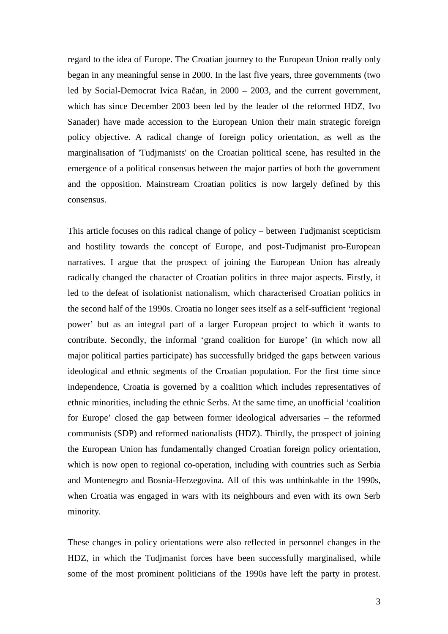regard to the idea of Europe. The Croatian journey to the European Union really only began in any meaningful sense in 2000. In the last five years, three governments (two led by Social-Democrat Ivica Račan, in 2000 – 2003, and the current government, which has since December 2003 been led by the leader of the reformed HDZ, Ivo Sanader) have made accession to the European Union their main strategic foreign policy objective. A radical change of foreign policy orientation, as well as the marginalisation of 'Tudjmanists' on the Croatian political scene, has resulted in the emergence of a political consensus between the major parties of both the government and the opposition. Mainstream Croatian politics is now largely defined by this consensus.

This article focuses on this radical change of policy – between Tudjmanist scepticism and hostility towards the concept of Europe, and post-Tudjmanist pro-European narratives. I argue that the prospect of joining the European Union has already radically changed the character of Croatian politics in three major aspects. Firstly, it led to the defeat of isolationist nationalism, which characterised Croatian politics in the second half of the 1990s. Croatia no longer sees itself as a self-sufficient 'regional power' but as an integral part of a larger European project to which it wants to contribute. Secondly, the informal 'grand coalition for Europe' (in which now all major political parties participate) has successfully bridged the gaps between various ideological and ethnic segments of the Croatian population. For the first time since independence, Croatia is governed by a coalition which includes representatives of ethnic minorities, including the ethnic Serbs. At the same time, an unofficial 'coalition for Europe' closed the gap between former ideological adversaries – the reformed communists (SDP) and reformed nationalists (HDZ). Thirdly, the prospect of joining the European Union has fundamentally changed Croatian foreign policy orientation, which is now open to regional co-operation, including with countries such as Serbia and Montenegro and Bosnia-Herzegovina. All of this was unthinkable in the 1990s, when Croatia was engaged in wars with its neighbours and even with its own Serb minority.

These changes in policy orientations were also reflected in personnel changes in the HDZ, in which the Tudjmanist forces have been successfully marginalised, while some of the most prominent politicians of the 1990s have left the party in protest.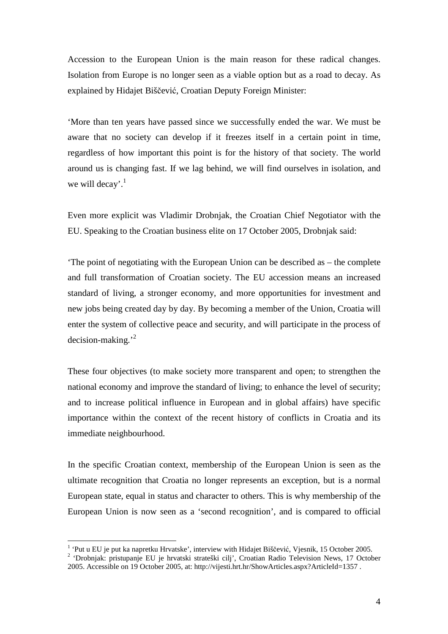Accession to the European Union is the main reason for these radical changes. Isolation from Europe is no longer seen as a viable option but as a road to decay. As explained by Hidajet Biščević, Croatian Deputy Foreign Minister:

'More than ten years have passed since we successfully ended the war. We must be aware that no society can develop if it freezes itself in a certain point in time, regardless of how important this point is for the history of that society. The world around us is changing fast. If we lag behind, we will find ourselves in isolation, and we will decay'. $1$ 

Even more explicit was Vladimir Drobnjak, the Croatian Chief Negotiator with the EU. Speaking to the Croatian business elite on 17 October 2005, Drobnjak said:

'The point of negotiating with the European Union can be described as – the complete and full transformation of Croatian society. The EU accession means an increased standard of living, a stronger economy, and more opportunities for investment and new jobs being created day by day. By becoming a member of the Union, Croatia will enter the system of collective peace and security, and will participate in the process of decision-making.<sup>2</sup>

These four objectives (to make society more transparent and open; to strengthen the national economy and improve the standard of living; to enhance the level of security; and to increase political influence in European and in global affairs) have specific importance within the context of the recent history of conflicts in Croatia and its immediate neighbourhood.

In the specific Croatian context, membership of the European Union is seen as the ultimate recognition that Croatia no longer represents an exception, but is a normal European state, equal in status and character to others. This is why membership of the European Union is now seen as a 'second recognition', and is compared to official

<sup>&</sup>lt;sup>1</sup> 'Put u EU je put ka napretku Hrvatske', interview with Hidajet Biščević, Vjesnik, 15 October 2005.

<sup>&</sup>lt;sup>2</sup> 'Drobnjak: pristupanje EU je hrvatski strateški cilj', Croatian Radio Television News, 17 October 2005. Accessible on 19 October 2005, at: http://vijesti.hrt.hr/ShowArticles.aspx?ArticleId=1357 .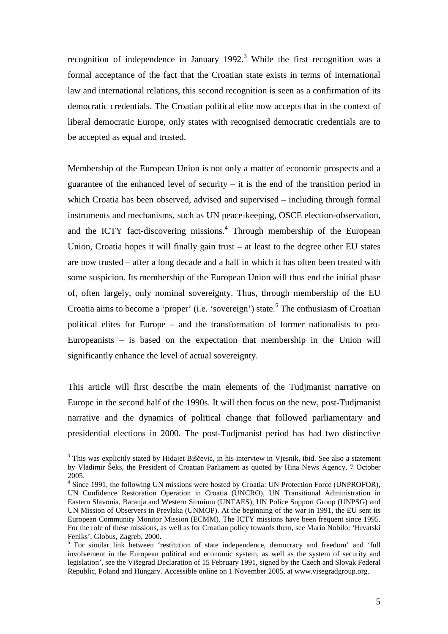recognition of independence in January 1992.<sup>3</sup> While the first recognition was a formal acceptance of the fact that the Croatian state exists in terms of international law and international relations, this second recognition is seen as a confirmation of its democratic credentials. The Croatian political elite now accepts that in the context of liberal democratic Europe, only states with recognised democratic credentials are to be accepted as equal and trusted.

Membership of the European Union is not only a matter of economic prospects and a guarantee of the enhanced level of security – it is the end of the transition period in which Croatia has been observed, advised and supervised – including through formal instruments and mechanisms, such as UN peace-keeping, OSCE election-observation, and the ICTY fact-discovering missions.<sup>4</sup> Through membership of the European Union, Croatia hopes it will finally gain trust – at least to the degree other EU states are now trusted – after a long decade and a half in which it has often been treated with some suspicion. Its membership of the European Union will thus end the initial phase of, often largely, only nominal sovereignty. Thus, through membership of the EU Croatia aims to become a 'proper' (i.e. 'sovereign') state.<sup>5</sup> The enthusiasm of Croatian political elites for Europe – and the transformation of former nationalists to pro-Europeanists – is based on the expectation that membership in the Union will significantly enhance the level of actual sovereignty.

This article will first describe the main elements of the Tudjmanist narrative on Europe in the second half of the 1990s. It will then focus on the new, post-Tudjmanist narrative and the dynamics of political change that followed parliamentary and presidential elections in 2000. The post-Tudjmanist period has had two distinctive

<sup>&</sup>lt;sup>3</sup> This was explicitly stated by Hidajet Biščević, in his interview in Vjesnik, ibid. See also a statement by Vladimir Šeks, the President of Croatian Parliament as quoted by Hina News Agency, 7 October 2005.

<sup>&</sup>lt;sup>4</sup> Since 1991, the following UN missions were hosted by Croatia: UN Protection Force (UNPROFOR), UN Confidence Restoration Operation in Croatia (UNCRO), UN Transitional Administration in Eastern Slavonia, Baranja and Western Sirmium (UNTAES), UN Police Support Group (UNPSG) and UN Mission of Observers in Prevlaka (UNMOP). At the beginning of the war in 1991, the EU sent its European Community Monitor Mission (ECMM). The ICTY missions have been frequent since 1995. For the role of these missions, as well as for Croatian policy towards them, see Mario Nobilo: 'Hrvatski Feniks', Globus, Zagreb, 2000.

<sup>&</sup>lt;sup>5</sup> For similar link between 'restitution of state independence, democracy and freedom' and 'full involvement in the European political and economic system, as well as the system of security and legislation', see the Višegrad Declaration of 15 February 1991, signed by the Czech and Slovak Federal Republic, Poland and Hungary. Accessible online on 1 November 2005, at www.visegradgroup.org.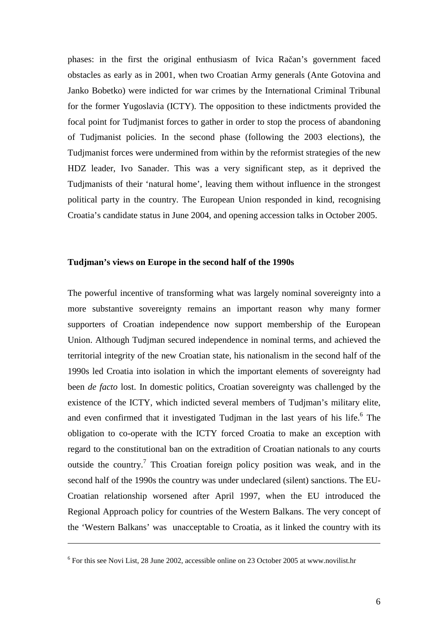phases: in the first the original enthusiasm of Ivica Račan's government faced obstacles as early as in 2001, when two Croatian Army generals (Ante Gotovina and Janko Bobetko) were indicted for war crimes by the International Criminal Tribunal for the former Yugoslavia (ICTY). The opposition to these indictments provided the focal point for Tudjmanist forces to gather in order to stop the process of abandoning of Tudjmanist policies. In the second phase (following the 2003 elections), the Tudjmanist forces were undermined from within by the reformist strategies of the new HDZ leader, Ivo Sanader. This was a very significant step, as it deprived the Tudjmanists of their 'natural home', leaving them without influence in the strongest political party in the country. The European Union responded in kind, recognising Croatia's candidate status in June 2004, and opening accession talks in October 2005.

#### **Tudjman's views on Europe in the second half of the 1990s**

The powerful incentive of transforming what was largely nominal sovereignty into a more substantive sovereignty remains an important reason why many former supporters of Croatian independence now support membership of the European Union. Although Tudjman secured independence in nominal terms, and achieved the territorial integrity of the new Croatian state, his nationalism in the second half of the 1990s led Croatia into isolation in which the important elements of sovereignty had been *de facto* lost. In domestic politics, Croatian sovereignty was challenged by the existence of the ICTY, which indicted several members of Tudjman's military elite, and even confirmed that it investigated Tudjman in the last years of his life.<sup>6</sup> The obligation to co-operate with the ICTY forced Croatia to make an exception with regard to the constitutional ban on the extradition of Croatian nationals to any courts outside the country.<sup>7</sup> This Croatian foreign policy position was weak, and in the second half of the 1990s the country was under undeclared (silent) sanctions. The EU-Croatian relationship worsened after April 1997, when the EU introduced the Regional Approach policy for countries of the Western Balkans. The very concept of the 'Western Balkans' was unacceptable to Croatia, as it linked the country with its

<sup>&</sup>lt;sup>6</sup> For this see Novi List, 28 June 2002, accessible online on 23 October 2005 at www.novilist.hr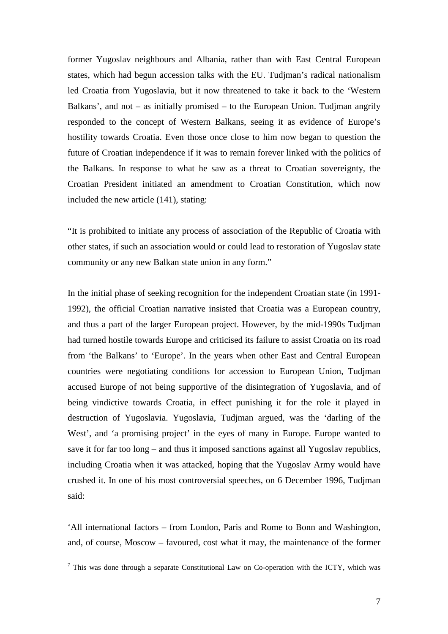former Yugoslav neighbours and Albania, rather than with East Central European states, which had begun accession talks with the EU. Tudjman's radical nationalism led Croatia from Yugoslavia, but it now threatened to take it back to the 'Western Balkans', and not – as initially promised – to the European Union. Tudjman angrily responded to the concept of Western Balkans, seeing it as evidence of Europe's hostility towards Croatia. Even those once close to him now began to question the future of Croatian independence if it was to remain forever linked with the politics of the Balkans. In response to what he saw as a threat to Croatian sovereignty, the Croatian President initiated an amendment to Croatian Constitution, which now included the new article (141), stating:

"It is prohibited to initiate any process of association of the Republic of Croatia with other states, if such an association would or could lead to restoration of Yugoslav state community or any new Balkan state union in any form."

In the initial phase of seeking recognition for the independent Croatian state (in 1991- 1992), the official Croatian narrative insisted that Croatia was a European country, and thus a part of the larger European project. However, by the mid-1990s Tudjman had turned hostile towards Europe and criticised its failure to assist Croatia on its road from 'the Balkans' to 'Europe'. In the years when other East and Central European countries were negotiating conditions for accession to European Union, Tudjman accused Europe of not being supportive of the disintegration of Yugoslavia, and of being vindictive towards Croatia, in effect punishing it for the role it played in destruction of Yugoslavia. Yugoslavia, Tudjman argued, was the 'darling of the West', and 'a promising project' in the eyes of many in Europe. Europe wanted to save it for far too long – and thus it imposed sanctions against all Yugoslav republics, including Croatia when it was attacked, hoping that the Yugoslav Army would have crushed it. In one of his most controversial speeches, on 6 December 1996, Tudjman said:

'All international factors – from London, Paris and Rome to Bonn and Washington, and, of course, Moscow – favoured, cost what it may, the maintenance of the former

 7 This was done through a separate Constitutional Law on Co-operation with the ICTY, which was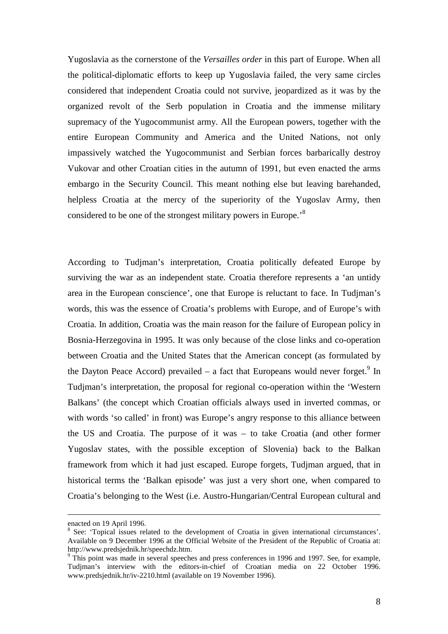Yugoslavia as the cornerstone of the *Versailles order* in this part of Europe. When all the political-diplomatic efforts to keep up Yugoslavia failed, the very same circles considered that independent Croatia could not survive, jeopardized as it was by the organized revolt of the Serb population in Croatia and the immense military supremacy of the Yugocommunist army. All the European powers, together with the entire European Community and America and the United Nations, not only impassively watched the Yugocommunist and Serbian forces barbarically destroy Vukovar and other Croatian cities in the autumn of 1991, but even enacted the arms embargo in the Security Council. This meant nothing else but leaving barehanded, helpless Croatia at the mercy of the superiority of the Yugoslav Army, then considered to be one of the strongest military powers in Europe.'<sup>8</sup>

According to Tudjman's interpretation, Croatia politically defeated Europe by surviving the war as an independent state. Croatia therefore represents a 'an untidy area in the European conscience', one that Europe is reluctant to face. In Tudjman's words, this was the essence of Croatia's problems with Europe, and of Europe's with Croatia. In addition, Croatia was the main reason for the failure of European policy in Bosnia-Herzegovina in 1995. It was only because of the close links and co-operation between Croatia and the United States that the American concept (as formulated by the Dayton Peace Accord) prevailed  $-$  a fact that Europeans would never forget.<sup>9</sup> In Tudjman's interpretation, the proposal for regional co-operation within the 'Western Balkans' (the concept which Croatian officials always used in inverted commas, or with words 'so called' in front) was Europe's angry response to this alliance between the US and Croatia. The purpose of it was – to take Croatia (and other former Yugoslav states, with the possible exception of Slovenia) back to the Balkan framework from which it had just escaped. Europe forgets, Tudjman argued, that in historical terms the 'Balkan episode' was just a very short one, when compared to Croatia's belonging to the West (i.e. Austro-Hungarian/Central European cultural and

enacted on 19 April 1996.

<sup>&</sup>lt;sup>8</sup> See: 'Topical issues related to the development of Croatia in given international circumstances'. Available on 9 December 1996 at the Official Website of the President of the Republic of Croatia at: http://www.predsjednik.hr/speechdz.htm.

<sup>&</sup>lt;sup>9</sup> This point was made in several speeches and press conferences in 1996 and 1997. See, for example, Tudjman's interview with the editors-in-chief of Croatian media on 22 October 1996. www.predsjednik.hr/iv-2210.html (available on 19 November 1996).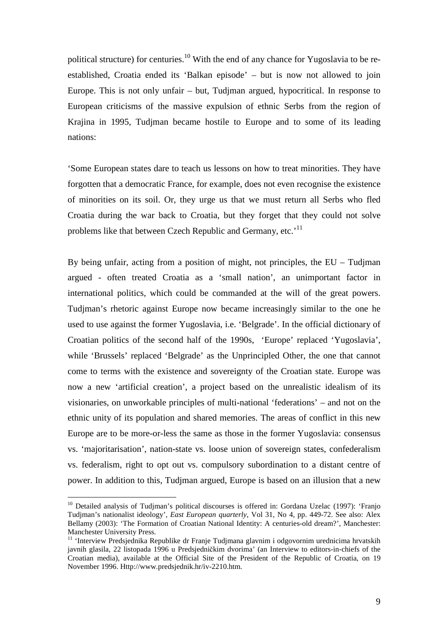political structure) for centuries.<sup>10</sup> With the end of any chance for Yugoslavia to be reestablished, Croatia ended its 'Balkan episode' – but is now not allowed to join Europe. This is not only unfair – but, Tudjman argued, hypocritical. In response to European criticisms of the massive expulsion of ethnic Serbs from the region of Krajina in 1995, Tudjman became hostile to Europe and to some of its leading nations:

'Some European states dare to teach us lessons on how to treat minorities. They have forgotten that a democratic France, for example, does not even recognise the existence of minorities on its soil. Or, they urge us that we must return all Serbs who fled Croatia during the war back to Croatia, but they forget that they could not solve problems like that between Czech Republic and Germany, etc.<sup>'11</sup>

By being unfair, acting from a position of might, not principles, the  $EU - T \ddot{\mu}$ argued - often treated Croatia as a 'small nation', an unimportant factor in international politics, which could be commanded at the will of the great powers. Tudjman's rhetoric against Europe now became increasingly similar to the one he used to use against the former Yugoslavia, i.e. 'Belgrade'. In the official dictionary of Croatian politics of the second half of the 1990s, 'Europe' replaced 'Yugoslavia', while 'Brussels' replaced 'Belgrade' as the Unprincipled Other, the one that cannot come to terms with the existence and sovereignty of the Croatian state. Europe was now a new 'artificial creation', a project based on the unrealistic idealism of its visionaries, on unworkable principles of multi-national 'federations' – and not on the ethnic unity of its population and shared memories. The areas of conflict in this new Europe are to be more-or-less the same as those in the former Yugoslavia: consensus vs. 'majoritarisation', nation-state vs. loose union of sovereign states, confederalism vs. federalism, right to opt out vs. compulsory subordination to a distant centre of power. In addition to this, Tudjman argued, Europe is based on an illusion that a new

<sup>&</sup>lt;sup>10</sup> Detailed analysis of Tudjman's political discourses is offered in: Gordana Uzelac (1997): 'Franjo Tudjman's nationalist ideology', *East European quarterly*, Vol 31, No 4, pp. 449-72. See also: Alex Bellamy (2003): 'The Formation of Croatian National Identity: A centuries-old dream?', Manchester: Manchester University Press.

<sup>&</sup>lt;sup>11</sup> 'Interview Predsjednika Republike dr Franje Tudjmana glavnim i odgovornim urednicima hrvatskih javnih glasila, 22 listopada 1996 u Predsjedničkim dvorima' (an Interview to editors-in-chiefs of the Croatian media), available at the Official Site of the President of the Republic of Croatia, on 19 November 1996. Http://www.predsjednik.hr/iv-2210.htm.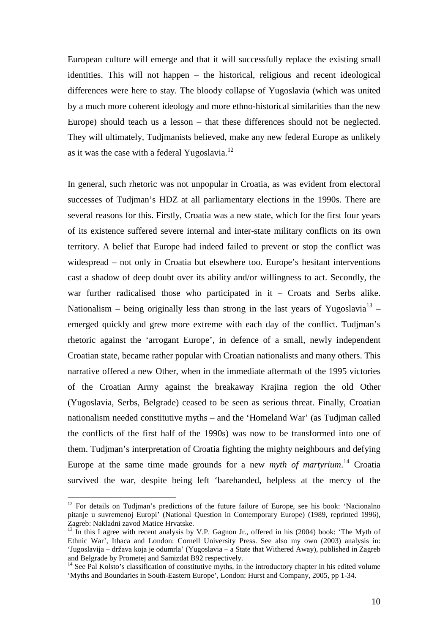European culture will emerge and that it will successfully replace the existing small identities. This will not happen – the historical, religious and recent ideological differences were here to stay. The bloody collapse of Yugoslavia (which was united by a much more coherent ideology and more ethno-historical similarities than the new Europe) should teach us a lesson – that these differences should not be neglected. They will ultimately, Tudjmanists believed, make any new federal Europe as unlikely as it was the case with a federal Yugoslavia.<sup>12</sup>

In general, such rhetoric was not unpopular in Croatia, as was evident from electoral successes of Tudjman's HDZ at all parliamentary elections in the 1990s. There are several reasons for this. Firstly, Croatia was a new state, which for the first four years of its existence suffered severe internal and inter-state military conflicts on its own territory. A belief that Europe had indeed failed to prevent or stop the conflict was widespread – not only in Croatia but elsewhere too. Europe's hesitant interventions cast a shadow of deep doubt over its ability and/or willingness to act. Secondly, the war further radicalised those who participated in it – Croats and Serbs alike. Nationalism – being originally less than strong in the last years of Yugoslavia<sup>13</sup> – emerged quickly and grew more extreme with each day of the conflict. Tudjman's rhetoric against the 'arrogant Europe', in defence of a small, newly independent Croatian state, became rather popular with Croatian nationalists and many others. This narrative offered a new Other, when in the immediate aftermath of the 1995 victories of the Croatian Army against the breakaway Krajina region the old Other (Yugoslavia, Serbs, Belgrade) ceased to be seen as serious threat. Finally, Croatian nationalism needed constitutive myths – and the 'Homeland War' (as Tudjman called the conflicts of the first half of the 1990s) was now to be transformed into one of them. Tudjman's interpretation of Croatia fighting the mighty neighbours and defying Europe at the same time made grounds for a new *myth of martyrium*. <sup>14</sup> Croatia survived the war, despite being left 'barehanded, helpless at the mercy of the

<sup>&</sup>lt;sup>12</sup> For details on Tudjman's predictions of the future failure of Europe, see his book: 'Nacionalno pitanje u suvremenoj Europi' (National Question in Contemporary Europe) (1989, reprinted 1996), Zagreb: Nakladni zavod Matice Hrvatske.

 $13$  In this I agree with recent analysis by V.P. Gagnon Jr., offered in his (2004) book: 'The Myth of Ethnic War', Ithaca and London: Cornell University Press. See also my own (2003) analysis in: 'Jugoslavija – država koja je odumrla' (Yugoslavia – a State that Withered Away), published in Zagreb and Belgrade by Prometej and Samizdat B92 respectively.

 $14$  See Pal Kolsto's classification of constitutive myths, in the introductory chapter in his edited volume 'Myths and Boundaries in South-Eastern Europe', London: Hurst and Company, 2005, pp 1-34.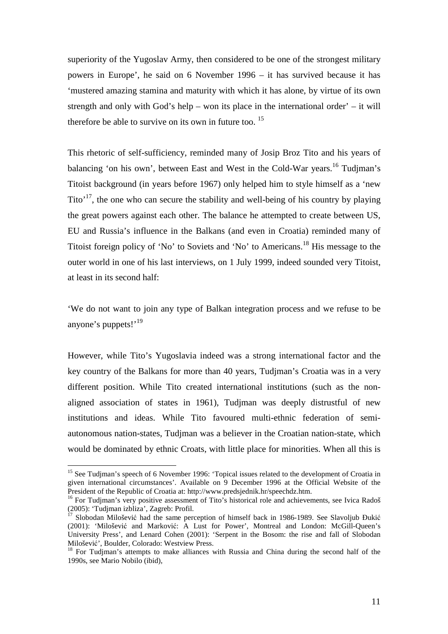superiority of the Yugoslav Army, then considered to be one of the strongest military powers in Europe', he said on 6 November 1996 – it has survived because it has 'mustered amazing stamina and maturity with which it has alone, by virtue of its own strength and only with God's help – won its place in the international order' – it will therefore be able to survive on its own in future too.  $15$ 

This rhetoric of self-sufficiency, reminded many of Josip Broz Tito and his years of balancing 'on his own', between East and West in the Cold-War years.<sup>16</sup> Tudjman's Titoist background (in years before 1967) only helped him to style himself as a 'new Tito'<sup>17</sup>, the one who can secure the stability and well-being of his country by playing the great powers against each other. The balance he attempted to create between US, EU and Russia's influence in the Balkans (and even in Croatia) reminded many of Titoist foreign policy of 'No' to Soviets and 'No' to Americans.<sup>18</sup> His message to the outer world in one of his last interviews, on 1 July 1999, indeed sounded very Titoist, at least in its second half:

'We do not want to join any type of Balkan integration process and we refuse to be anyone's puppets!'<sup>19</sup>

However, while Tito's Yugoslavia indeed was a strong international factor and the key country of the Balkans for more than 40 years, Tudjman's Croatia was in a very different position. While Tito created international institutions (such as the nonaligned association of states in 1961), Tudjman was deeply distrustful of new institutions and ideas. While Tito favoured multi-ethnic federation of semiautonomous nation-states, Tudjman was a believer in the Croatian nation-state, which would be dominated by ethnic Croats, with little place for minorities. When all this is

<sup>&</sup>lt;sup>15</sup> See Tudjman's speech of 6 November 1996: 'Topical issues related to the development of Croatia in given international circumstances'. Available on 9 December 1996 at the Official Website of the President of the Republic of Croatia at: http://www.predsjednik.hr/speechdz.htm.

<sup>&</sup>lt;sup>16</sup> For Tudiman's very positive assessment of Tito's historical role and achievements, see Ivica Radoš (2005): 'Tudjman izbliza', Zagreb: Profil.

<sup>17</sup> Slobodan Milošević had the same perception of himself back in 1986-1989. See Slavoljub ðukić (2001): 'Milošević and Marković: A Lust for Power', Montreal and London: McGill-Queen's University Press', and Lenard Cohen (2001): 'Serpent in the Bosom: the rise and fall of Slobodan Milošević', Boulder, Colorado: Westview Press.

<sup>&</sup>lt;sup>18</sup> For Tudiman's attempts to make alliances with Russia and China during the second half of the 1990s, see Mario Nobilo (ibid),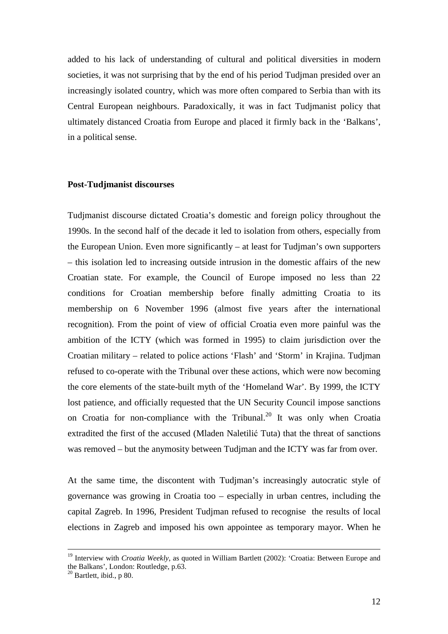added to his lack of understanding of cultural and political diversities in modern societies, it was not surprising that by the end of his period Tudjman presided over an increasingly isolated country, which was more often compared to Serbia than with its Central European neighbours. Paradoxically, it was in fact Tudjmanist policy that ultimately distanced Croatia from Europe and placed it firmly back in the 'Balkans', in a political sense.

#### **Post-Tudjmanist discourses**

Tudjmanist discourse dictated Croatia's domestic and foreign policy throughout the 1990s. In the second half of the decade it led to isolation from others, especially from the European Union. Even more significantly – at least for Tudjman's own supporters – this isolation led to increasing outside intrusion in the domestic affairs of the new Croatian state. For example, the Council of Europe imposed no less than 22 conditions for Croatian membership before finally admitting Croatia to its membership on 6 November 1996 (almost five years after the international recognition). From the point of view of official Croatia even more painful was the ambition of the ICTY (which was formed in 1995) to claim jurisdiction over the Croatian military – related to police actions 'Flash' and 'Storm' in Krajina. Tudjman refused to co-operate with the Tribunal over these actions, which were now becoming the core elements of the state-built myth of the 'Homeland War'. By 1999, the ICTY lost patience, and officially requested that the UN Security Council impose sanctions on Croatia for non-compliance with the Tribunal.<sup>20</sup> It was only when Croatia extradited the first of the accused (Mladen Naletilić Tuta) that the threat of sanctions was removed – but the anymosity between Tudjman and the ICTY was far from over.

At the same time, the discontent with Tudjman's increasingly autocratic style of governance was growing in Croatia too – especially in urban centres, including the capital Zagreb. In 1996, President Tudjman refused to recognise the results of local elections in Zagreb and imposed his own appointee as temporary mayor. When he

<sup>&</sup>lt;sup>19</sup> Interview with *Croatia Weekly*, as quoted in William Bartlett (2002): 'Croatia: Between Europe and the Balkans', London: Routledge, p.63.

 $20$  Bartlett, ibid., p 80.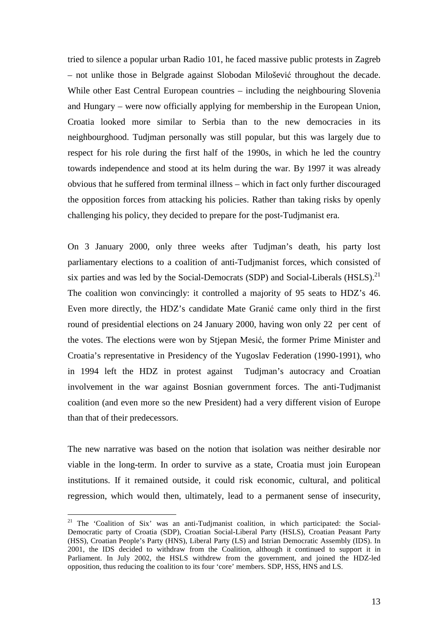tried to silence a popular urban Radio 101, he faced massive public protests in Zagreb – not unlike those in Belgrade against Slobodan Milošević throughout the decade. While other East Central European countries – including the neighbouring Slovenia and Hungary – were now officially applying for membership in the European Union, Croatia looked more similar to Serbia than to the new democracies in its neighbourghood. Tudjman personally was still popular, but this was largely due to respect for his role during the first half of the 1990s, in which he led the country towards independence and stood at its helm during the war. By 1997 it was already obvious that he suffered from terminal illness – which in fact only further discouraged the opposition forces from attacking his policies. Rather than taking risks by openly challenging his policy, they decided to prepare for the post-Tudjmanist era.

On 3 January 2000, only three weeks after Tudjman's death, his party lost parliamentary elections to a coalition of anti-Tudjmanist forces, which consisted of six parties and was led by the Social-Democrats (SDP) and Social-Liberals  $(HSLS)$ <sup>21</sup> The coalition won convincingly: it controlled a majority of 95 seats to HDZ's 46. Even more directly, the HDZ's candidate Mate Granić came only third in the first round of presidential elections on 24 January 2000, having won only 22 per cent of the votes. The elections were won by Stjepan Mesić, the former Prime Minister and Croatia's representative in Presidency of the Yugoslav Federation (1990-1991), who in 1994 left the HDZ in protest against Tudjman's autocracy and Croatian involvement in the war against Bosnian government forces. The anti-Tudjmanist coalition (and even more so the new President) had a very different vision of Europe than that of their predecessors.

The new narrative was based on the notion that isolation was neither desirable nor viable in the long-term. In order to survive as a state, Croatia must join European institutions. If it remained outside, it could risk economic, cultural, and political regression, which would then, ultimately, lead to a permanent sense of insecurity,

<sup>&</sup>lt;sup>21</sup> The 'Coalition of Six' was an anti-Tudjmanist coalition, in which participated: the Social-Democratic party of Croatia (SDP), Croatian Social-Liberal Party (HSLS), Croatian Peasant Party (HSS), Croatian People's Party (HNS), Liberal Party (LS) and Istrian Democratic Assembly (IDS). In 2001, the IDS decided to withdraw from the Coalition, although it continued to support it in Parliament. In July 2002, the HSLS withdrew from the government, and joined the HDZ-led opposition, thus reducing the coalition to its four 'core' members. SDP, HSS, HNS and LS.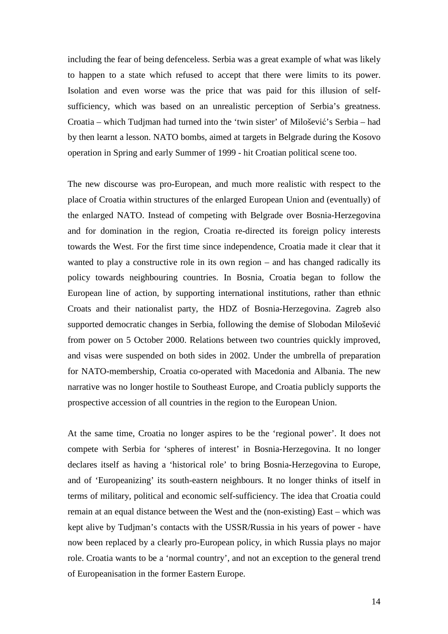including the fear of being defenceless. Serbia was a great example of what was likely to happen to a state which refused to accept that there were limits to its power. Isolation and even worse was the price that was paid for this illusion of selfsufficiency, which was based on an unrealistic perception of Serbia's greatness. Croatia – which Tudjman had turned into the 'twin sister' of Milošević's Serbia – had by then learnt a lesson. NATO bombs, aimed at targets in Belgrade during the Kosovo operation in Spring and early Summer of 1999 - hit Croatian political scene too.

The new discourse was pro-European, and much more realistic with respect to the place of Croatia within structures of the enlarged European Union and (eventually) of the enlarged NATO. Instead of competing with Belgrade over Bosnia-Herzegovina and for domination in the region, Croatia re-directed its foreign policy interests towards the West. For the first time since independence, Croatia made it clear that it wanted to play a constructive role in its own region – and has changed radically its policy towards neighbouring countries. In Bosnia, Croatia began to follow the European line of action, by supporting international institutions, rather than ethnic Croats and their nationalist party, the HDZ of Bosnia-Herzegovina. Zagreb also supported democratic changes in Serbia, following the demise of Slobodan Milošević from power on 5 October 2000. Relations between two countries quickly improved, and visas were suspended on both sides in 2002. Under the umbrella of preparation for NATO-membership, Croatia co-operated with Macedonia and Albania. The new narrative was no longer hostile to Southeast Europe, and Croatia publicly supports the prospective accession of all countries in the region to the European Union.

At the same time, Croatia no longer aspires to be the 'regional power'. It does not compete with Serbia for 'spheres of interest' in Bosnia-Herzegovina. It no longer declares itself as having a 'historical role' to bring Bosnia-Herzegovina to Europe, and of 'Europeanizing' its south-eastern neighbours. It no longer thinks of itself in terms of military, political and economic self-sufficiency. The idea that Croatia could remain at an equal distance between the West and the (non-existing) East – which was kept alive by Tudjman's contacts with the USSR/Russia in his years of power - have now been replaced by a clearly pro-European policy, in which Russia plays no major role. Croatia wants to be a 'normal country', and not an exception to the general trend of Europeanisation in the former Eastern Europe.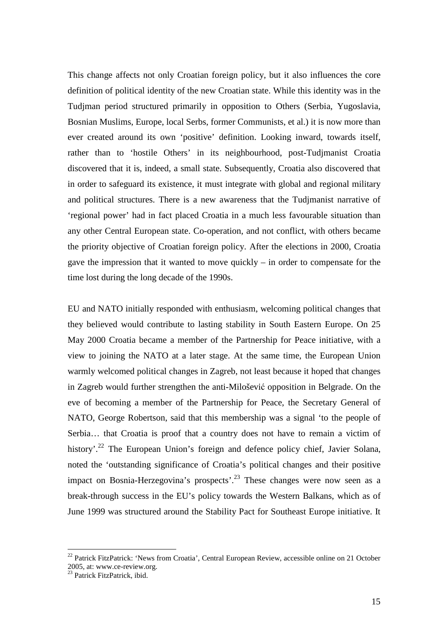This change affects not only Croatian foreign policy, but it also influences the core definition of political identity of the new Croatian state. While this identity was in the Tudjman period structured primarily in opposition to Others (Serbia, Yugoslavia, Bosnian Muslims, Europe, local Serbs, former Communists, et al.) it is now more than ever created around its own 'positive' definition. Looking inward, towards itself, rather than to 'hostile Others' in its neighbourhood, post-Tudjmanist Croatia discovered that it is, indeed, a small state. Subsequently, Croatia also discovered that in order to safeguard its existence, it must integrate with global and regional military and political structures. There is a new awareness that the Tudjmanist narrative of 'regional power' had in fact placed Croatia in a much less favourable situation than any other Central European state. Co-operation, and not conflict, with others became the priority objective of Croatian foreign policy. After the elections in 2000, Croatia gave the impression that it wanted to move quickly – in order to compensate for the time lost during the long decade of the 1990s.

EU and NATO initially responded with enthusiasm, welcoming political changes that they believed would contribute to lasting stability in South Eastern Europe. On 25 May 2000 Croatia became a member of the Partnership for Peace initiative, with a view to joining the NATO at a later stage. At the same time, the European Union warmly welcomed political changes in Zagreb, not least because it hoped that changes in Zagreb would further strengthen the anti-Milošević opposition in Belgrade. On the eve of becoming a member of the Partnership for Peace, the Secretary General of NATO, George Robertson, said that this membership was a signal 'to the people of Serbia... that Croatia is proof that a country does not have to remain a victim of history'.<sup>22</sup> The European Union's foreign and defence policy chief, Javier Solana, noted the 'outstanding significance of Croatia's political changes and their positive impact on Bosnia-Herzegovina's prospects'.<sup>23</sup> These changes were now seen as a break-through success in the EU's policy towards the Western Balkans, which as of June 1999 was structured around the Stability Pact for Southeast Europe initiative. It

<sup>&</sup>lt;sup>22</sup> Patrick FitzPatrick: 'News from Croatia', Central European Review, accessible online on 21 October 2005, at: www.ce-review.org.

 $23$  Patrick FitzPatrick, ibid.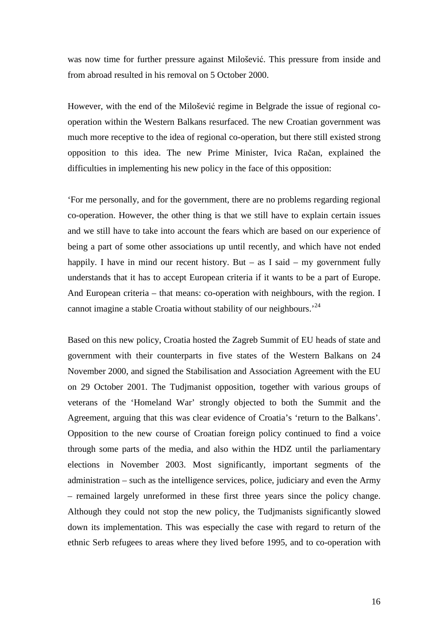was now time for further pressure against Milošević. This pressure from inside and from abroad resulted in his removal on 5 October 2000.

However, with the end of the Milošević regime in Belgrade the issue of regional cooperation within the Western Balkans resurfaced. The new Croatian government was much more receptive to the idea of regional co-operation, but there still existed strong opposition to this idea. The new Prime Minister, Ivica Račan, explained the difficulties in implementing his new policy in the face of this opposition:

'For me personally, and for the government, there are no problems regarding regional co-operation. However, the other thing is that we still have to explain certain issues and we still have to take into account the fears which are based on our experience of being a part of some other associations up until recently, and which have not ended happily. I have in mind our recent history. But – as I said – my government fully understands that it has to accept European criteria if it wants to be a part of Europe. And European criteria – that means: co-operation with neighbours, with the region. I cannot imagine a stable Croatia without stability of our neighbours.<sup>24</sup>

Based on this new policy, Croatia hosted the Zagreb Summit of EU heads of state and government with their counterparts in five states of the Western Balkans on 24 November 2000, and signed the Stabilisation and Association Agreement with the EU on 29 October 2001. The Tudjmanist opposition, together with various groups of veterans of the 'Homeland War' strongly objected to both the Summit and the Agreement, arguing that this was clear evidence of Croatia's 'return to the Balkans'. Opposition to the new course of Croatian foreign policy continued to find a voice through some parts of the media, and also within the HDZ until the parliamentary elections in November 2003. Most significantly, important segments of the administration – such as the intelligence services, police, judiciary and even the Army – remained largely unreformed in these first three years since the policy change. Although they could not stop the new policy, the Tudjmanists significantly slowed down its implementation. This was especially the case with regard to return of the ethnic Serb refugees to areas where they lived before 1995, and to co-operation with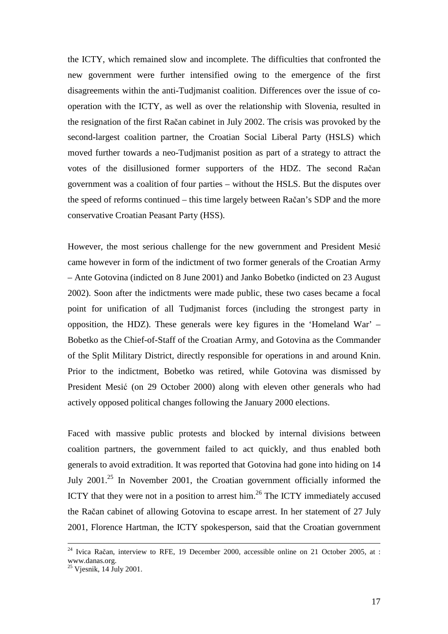the ICTY, which remained slow and incomplete. The difficulties that confronted the new government were further intensified owing to the emergence of the first disagreements within the anti-Tudjmanist coalition. Differences over the issue of cooperation with the ICTY, as well as over the relationship with Slovenia, resulted in the resignation of the first Račan cabinet in July 2002. The crisis was provoked by the second-largest coalition partner, the Croatian Social Liberal Party (HSLS) which moved further towards a neo-Tudjmanist position as part of a strategy to attract the votes of the disillusioned former supporters of the HDZ. The second Račan government was a coalition of four parties – without the HSLS. But the disputes over the speed of reforms continued – this time largely between Račan's SDP and the more conservative Croatian Peasant Party (HSS).

However, the most serious challenge for the new government and President Mesić came however in form of the indictment of two former generals of the Croatian Army – Ante Gotovina (indicted on 8 June 2001) and Janko Bobetko (indicted on 23 August 2002). Soon after the indictments were made public, these two cases became a focal point for unification of all Tudjmanist forces (including the strongest party in opposition, the HDZ). These generals were key figures in the 'Homeland War' – Bobetko as the Chief-of-Staff of the Croatian Army, and Gotovina as the Commander of the Split Military District, directly responsible for operations in and around Knin. Prior to the indictment, Bobetko was retired, while Gotovina was dismissed by President Mesić (on 29 October 2000) along with eleven other generals who had actively opposed political changes following the January 2000 elections.

Faced with massive public protests and blocked by internal divisions between coalition partners, the government failed to act quickly, and thus enabled both generals to avoid extradition. It was reported that Gotovina had gone into hiding on 14 July  $2001<sup>25</sup>$  In November 2001, the Croatian government officially informed the ICTY that they were not in a position to arrest him.<sup>26</sup> The ICTY immediately accused the Račan cabinet of allowing Gotovina to escape arrest. In her statement of 27 July 2001, Florence Hartman, the ICTY spokesperson, said that the Croatian government

 $2<sup>24</sup>$  Ivica Račan, interview to RFE, 19 December 2000, accessible online on 21 October 2005, at : www.danas.org.

 $25$  Vjesnik, 14 July 2001.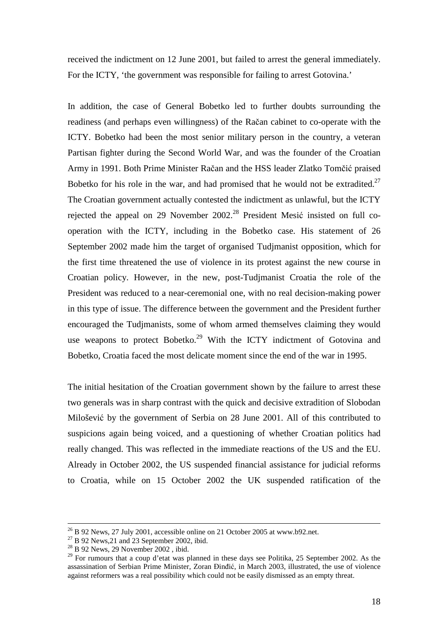received the indictment on 12 June 2001, but failed to arrest the general immediately. For the ICTY, 'the government was responsible for failing to arrest Gotovina.'

In addition, the case of General Bobetko led to further doubts surrounding the readiness (and perhaps even willingness) of the Račan cabinet to co-operate with the ICTY. Bobetko had been the most senior military person in the country, a veteran Partisan fighter during the Second World War, and was the founder of the Croatian Army in 1991. Both Prime Minister Račan and the HSS leader Zlatko Tomčić praised Bobetko for his role in the war, and had promised that he would not be extradited.<sup>27</sup> The Croatian government actually contested the indictment as unlawful, but the ICTY rejected the appeal on 29 November 2002.<sup>28</sup> President Mesić insisted on full cooperation with the ICTY, including in the Bobetko case. His statement of 26 September 2002 made him the target of organised Tudjmanist opposition, which for the first time threatened the use of violence in its protest against the new course in Croatian policy. However, in the new, post-Tudjmanist Croatia the role of the President was reduced to a near-ceremonial one, with no real decision-making power in this type of issue. The difference between the government and the President further encouraged the Tudjmanists, some of whom armed themselves claiming they would use weapons to protect Bobetko.<sup>29</sup> With the ICTY indictment of Gotovina and Bobetko, Croatia faced the most delicate moment since the end of the war in 1995.

The initial hesitation of the Croatian government shown by the failure to arrest these two generals was in sharp contrast with the quick and decisive extradition of Slobodan Milošević by the government of Serbia on 28 June 2001. All of this contributed to suspicions again being voiced, and a questioning of whether Croatian politics had really changed. This was reflected in the immediate reactions of the US and the EU. Already in October 2002, the US suspended financial assistance for judicial reforms to Croatia, while on 15 October 2002 the UK suspended ratification of the

<sup>&</sup>lt;sup>26</sup> B 92 News, 27 July 2001, accessible online on 21 October 2005 at www.b92.net.

 $27$  B 92 News, 21 and 23 September 2002, ibid.

<sup>&</sup>lt;sup>28</sup> B 92 News, 29 November 2002, ibid.

 $29$  For rumours that a coup d'etat was planned in these days see Politika, 25 September 2002. As the assassination of Serbian Prime Minister, Zoran ðinñić, in March 2003, illustrated, the use of violence against reformers was a real possibility which could not be easily dismissed as an empty threat.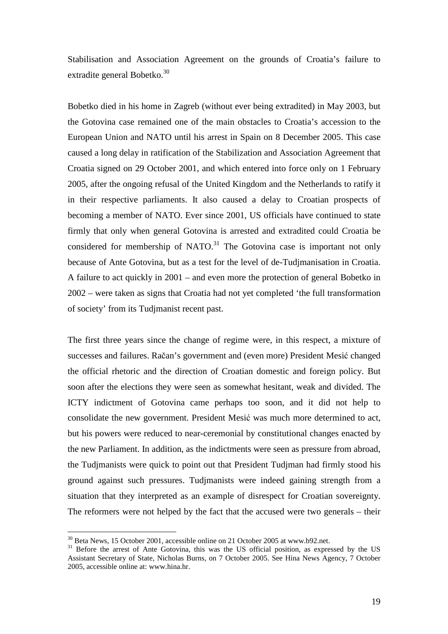Stabilisation and Association Agreement on the grounds of Croatia's failure to extradite general Bobetko.<sup>30</sup>

Bobetko died in his home in Zagreb (without ever being extradited) in May 2003, but the Gotovina case remained one of the main obstacles to Croatia's accession to the European Union and NATO until his arrest in Spain on 8 December 2005. This case caused a long delay in ratification of the Stabilization and Association Agreement that Croatia signed on 29 October 2001, and which entered into force only on 1 February 2005, after the ongoing refusal of the United Kingdom and the Netherlands to ratify it in their respective parliaments. It also caused a delay to Croatian prospects of becoming a member of NATO. Ever since 2001, US officials have continued to state firmly that only when general Gotovina is arrested and extradited could Croatia be considered for membership of NATO.<sup>31</sup> The Gotovina case is important not only because of Ante Gotovina, but as a test for the level of de-Tudjmanisation in Croatia. A failure to act quickly in 2001 – and even more the protection of general Bobetko in 2002 – were taken as signs that Croatia had not yet completed 'the full transformation of society' from its Tudjmanist recent past.

The first three years since the change of regime were, in this respect, a mixture of successes and failures. Račan's government and (even more) President Mesić changed the official rhetoric and the direction of Croatian domestic and foreign policy. But soon after the elections they were seen as somewhat hesitant, weak and divided. The ICTY indictment of Gotovina came perhaps too soon, and it did not help to consolidate the new government. President Mesić was much more determined to act, but his powers were reduced to near-ceremonial by constitutional changes enacted by the new Parliament. In addition, as the indictments were seen as pressure from abroad, the Tudjmanists were quick to point out that President Tudjman had firmly stood his ground against such pressures. Tudjmanists were indeed gaining strength from a situation that they interpreted as an example of disrespect for Croatian sovereignty. The reformers were not helped by the fact that the accused were two generals – their

<sup>&</sup>lt;sup>30</sup> Beta News, 15 October 2001, accessible online on 21 October 2005 at www.b92.net.

<sup>&</sup>lt;sup>31</sup> Before the arrest of Ante Gotovina, this was the US official position, as expressed by the US Assistant Secretary of State, Nicholas Burns, on 7 October 2005. See Hina News Agency, 7 October 2005, accessible online at: www.hina.hr.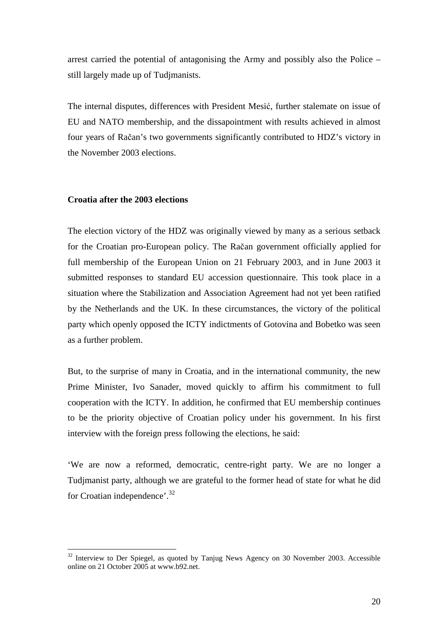arrest carried the potential of antagonising the Army and possibly also the Police – still largely made up of Tudjmanists.

The internal disputes, differences with President Mesić, further stalemate on issue of EU and NATO membership, and the dissapointment with results achieved in almost four years of Račan's two governments significantly contributed to HDZ's victory in the November 2003 elections.

#### **Croatia after the 2003 elections**

 $\overline{a}$ 

The election victory of the HDZ was originally viewed by many as a serious setback for the Croatian pro-European policy. The Račan government officially applied for full membership of the European Union on 21 February 2003, and in June 2003 it submitted responses to standard EU accession questionnaire. This took place in a situation where the Stabilization and Association Agreement had not yet been ratified by the Netherlands and the UK. In these circumstances, the victory of the political party which openly opposed the ICTY indictments of Gotovina and Bobetko was seen as a further problem.

But, to the surprise of many in Croatia, and in the international community, the new Prime Minister, Ivo Sanader, moved quickly to affirm his commitment to full cooperation with the ICTY. In addition, he confirmed that EU membership continues to be the priority objective of Croatian policy under his government. In his first interview with the foreign press following the elections, he said:

'We are now a reformed, democratic, centre-right party. We are no longer a Tudjmanist party, although we are grateful to the former head of state for what he did for Croatian independence'.<sup>32</sup>

 $32$  Interview to Der Spiegel, as quoted by Tanjug News Agency on 30 November 2003. Accessible online on 21 October 2005 at www.b92.net.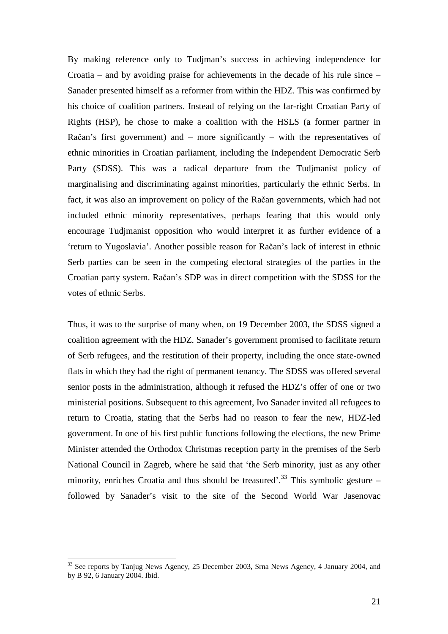By making reference only to Tudjman's success in achieving independence for Croatia – and by avoiding praise for achievements in the decade of his rule since – Sanader presented himself as a reformer from within the HDZ. This was confirmed by his choice of coalition partners. Instead of relying on the far-right Croatian Party of Rights (HSP), he chose to make a coalition with the HSLS (a former partner in Račan's first government) and – more significantly – with the representatives of ethnic minorities in Croatian parliament, including the Independent Democratic Serb Party (SDSS). This was a radical departure from the Tudjmanist policy of marginalising and discriminating against minorities, particularly the ethnic Serbs. In fact, it was also an improvement on policy of the Račan governments, which had not included ethnic minority representatives, perhaps fearing that this would only encourage Tudjmanist opposition who would interpret it as further evidence of a 'return to Yugoslavia'. Another possible reason for Račan's lack of interest in ethnic Serb parties can be seen in the competing electoral strategies of the parties in the Croatian party system. Račan's SDP was in direct competition with the SDSS for the votes of ethnic Serbs.

Thus, it was to the surprise of many when, on 19 December 2003, the SDSS signed a coalition agreement with the HDZ. Sanader's government promised to facilitate return of Serb refugees, and the restitution of their property, including the once state-owned flats in which they had the right of permanent tenancy. The SDSS was offered several senior posts in the administration, although it refused the HDZ's offer of one or two ministerial positions. Subsequent to this agreement, Ivo Sanader invited all refugees to return to Croatia, stating that the Serbs had no reason to fear the new, HDZ-led government. In one of his first public functions following the elections, the new Prime Minister attended the Orthodox Christmas reception party in the premises of the Serb National Council in Zagreb, where he said that 'the Serb minority, just as any other minority, enriches Croatia and thus should be treasured'.<sup>33</sup> This symbolic gesture – followed by Sanader's visit to the site of the Second World War Jasenovac

<sup>&</sup>lt;sup>33</sup> See reports by Tanjug News Agency, 25 December 2003, Srna News Agency, 4 January 2004, and by B 92, 6 January 2004. Ibid.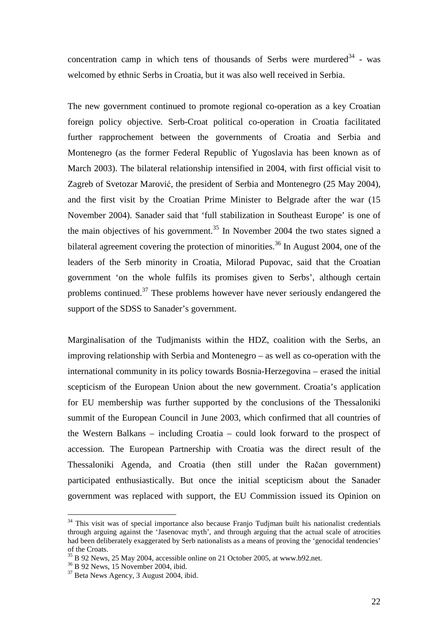concentration camp in which tens of thousands of Serbs were murdered $34$  - was welcomed by ethnic Serbs in Croatia, but it was also well received in Serbia.

The new government continued to promote regional co-operation as a key Croatian foreign policy objective. Serb-Croat political co-operation in Croatia facilitated further rapprochement between the governments of Croatia and Serbia and Montenegro (as the former Federal Republic of Yugoslavia has been known as of March 2003). The bilateral relationship intensified in 2004, with first official visit to Zagreb of Svetozar Marović, the president of Serbia and Montenegro (25 May 2004), and the first visit by the Croatian Prime Minister to Belgrade after the war (15 November 2004). Sanader said that 'full stabilization in Southeast Europe' is one of the main objectives of his government.<sup>35</sup> In November 2004 the two states signed a bilateral agreement covering the protection of minorities.<sup>36</sup> In August 2004, one of the leaders of the Serb minority in Croatia, Milorad Pupovac, said that the Croatian government 'on the whole fulfils its promises given to Serbs', although certain problems continued.<sup>37</sup> These problems however have never seriously endangered the support of the SDSS to Sanader's government.

Marginalisation of the Tudjmanists within the HDZ, coalition with the Serbs, an improving relationship with Serbia and Montenegro – as well as co-operation with the international community in its policy towards Bosnia-Herzegovina – erased the initial scepticism of the European Union about the new government. Croatia's application for EU membership was further supported by the conclusions of the Thessaloniki summit of the European Council in June 2003, which confirmed that all countries of the Western Balkans – including Croatia – could look forward to the prospect of accession. The European Partnership with Croatia was the direct result of the Thessaloniki Agenda, and Croatia (then still under the Račan government) participated enthusiastically. But once the initial scepticism about the Sanader government was replaced with support, the EU Commission issued its Opinion on

 $34$  This visit was of special importance also because Franjo Tudjman built his nationalist credentials through arguing against the 'Jasenovac myth', and through arguing that the actual scale of atrocities had been deliberately exaggerated by Serb nationalists as a means of proving the 'genocidal tendencies' of the Croats.

 $35$  B 92 News, 25 May 2004, accessible online on 21 October 2005, at www.b92.net.

<sup>&</sup>lt;sup>36</sup> B 92 News, 15 November 2004, ibid.

<sup>37</sup> Beta News Agency, 3 August 2004, ibid.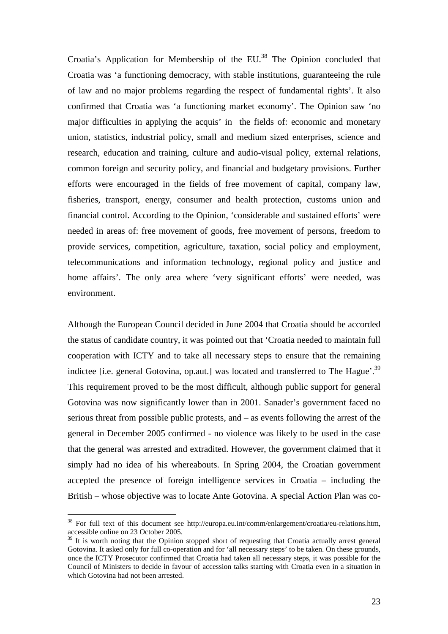Croatia's Application for Membership of the  $EU^{38}$ . The Opinion concluded that Croatia was 'a functioning democracy, with stable institutions, guaranteeing the rule of law and no major problems regarding the respect of fundamental rights'. It also confirmed that Croatia was 'a functioning market economy'. The Opinion saw 'no major difficulties in applying the acquis' in the fields of: economic and monetary union, statistics, industrial policy, small and medium sized enterprises, science and research, education and training, culture and audio-visual policy, external relations, common foreign and security policy, and financial and budgetary provisions. Further efforts were encouraged in the fields of free movement of capital, company law, fisheries, transport, energy, consumer and health protection, customs union and financial control. According to the Opinion, 'considerable and sustained efforts' were needed in areas of: free movement of goods, free movement of persons, freedom to provide services, competition, agriculture, taxation, social policy and employment, telecommunications and information technology, regional policy and justice and home affairs'. The only area where 'very significant efforts' were needed, was environment.

Although the European Council decided in June 2004 that Croatia should be accorded the status of candidate country, it was pointed out that 'Croatia needed to maintain full cooperation with ICTY and to take all necessary steps to ensure that the remaining indictee [i.e. general Gotovina, op.aut.] was located and transferred to The Hague'.<sup>39</sup> This requirement proved to be the most difficult, although public support for general Gotovina was now significantly lower than in 2001. Sanader's government faced no serious threat from possible public protests, and – as events following the arrest of the general in December 2005 confirmed - no violence was likely to be used in the case that the general was arrested and extradited. However, the government claimed that it simply had no idea of his whereabouts. In Spring 2004, the Croatian government accepted the presence of foreign intelligence services in Croatia – including the British – whose objective was to locate Ante Gotovina. A special Action Plan was co-

 $38$  For full text of this document see http://europa.eu.int/comm/enlargement/croatia/eu-relations.htm, accessible online on 23 October 2005.

<sup>&</sup>lt;sup>39</sup> It is worth noting that the Opinion stopped short of requesting that Croatia actually arrest general Gotovina. It asked only for full co-operation and for 'all necessary steps' to be taken. On these grounds, once the ICTY Prosecutor confirmed that Croatia had taken all necessary steps, it was possible for the Council of Ministers to decide in favour of accession talks starting with Croatia even in a situation in which Gotovina had not been arrested.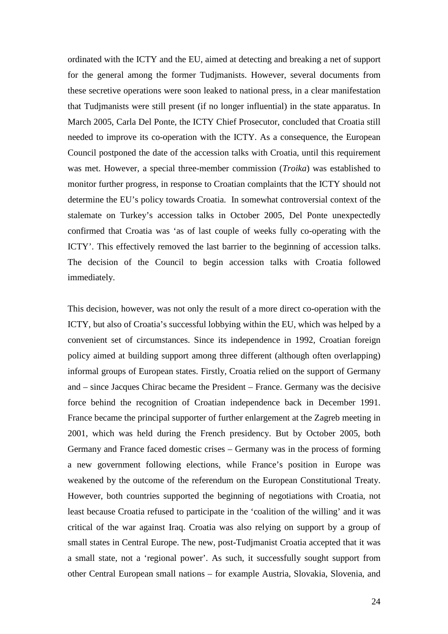ordinated with the ICTY and the EU, aimed at detecting and breaking a net of support for the general among the former Tudjmanists. However, several documents from these secretive operations were soon leaked to national press, in a clear manifestation that Tudjmanists were still present (if no longer influential) in the state apparatus. In March 2005, Carla Del Ponte, the ICTY Chief Prosecutor, concluded that Croatia still needed to improve its co-operation with the ICTY. As a consequence, the European Council postponed the date of the accession talks with Croatia, until this requirement was met. However, a special three-member commission (*Troika*) was established to monitor further progress, in response to Croatian complaints that the ICTY should not determine the EU's policy towards Croatia. In somewhat controversial context of the stalemate on Turkey's accession talks in October 2005, Del Ponte unexpectedly confirmed that Croatia was 'as of last couple of weeks fully co-operating with the ICTY'. This effectively removed the last barrier to the beginning of accession talks. The decision of the Council to begin accession talks with Croatia followed immediately.

This decision, however, was not only the result of a more direct co-operation with the ICTY, but also of Croatia's successful lobbying within the EU, which was helped by a convenient set of circumstances. Since its independence in 1992, Croatian foreign policy aimed at building support among three different (although often overlapping) informal groups of European states. Firstly, Croatia relied on the support of Germany and – since Jacques Chirac became the President – France. Germany was the decisive force behind the recognition of Croatian independence back in December 1991. France became the principal supporter of further enlargement at the Zagreb meeting in 2001, which was held during the French presidency. But by October 2005, both Germany and France faced domestic crises – Germany was in the process of forming a new government following elections, while France's position in Europe was weakened by the outcome of the referendum on the European Constitutional Treaty. However, both countries supported the beginning of negotiations with Croatia, not least because Croatia refused to participate in the 'coalition of the willing' and it was critical of the war against Iraq. Croatia was also relying on support by a group of small states in Central Europe. The new, post-Tudjmanist Croatia accepted that it was a small state, not a 'regional power'. As such, it successfully sought support from other Central European small nations – for example Austria, Slovakia, Slovenia, and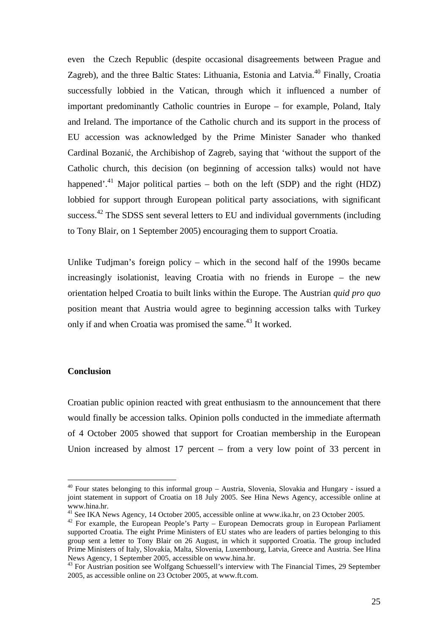even the Czech Republic (despite occasional disagreements between Prague and Zagreb), and the three Baltic States: Lithuania, Estonia and Latvia.<sup>40</sup> Finally, Croatia successfully lobbied in the Vatican, through which it influenced a number of important predominantly Catholic countries in Europe – for example, Poland, Italy and Ireland. The importance of the Catholic church and its support in the process of EU accession was acknowledged by the Prime Minister Sanader who thanked Cardinal Bozanić, the Archibishop of Zagreb, saying that 'without the support of the Catholic church, this decision (on beginning of accession talks) would not have happened'.<sup>41</sup> Major political parties – both on the left (SDP) and the right (HDZ) lobbied for support through European political party associations, with significant success.<sup>42</sup> The SDSS sent several letters to EU and individual governments (including to Tony Blair, on 1 September 2005) encouraging them to support Croatia.

Unlike Tudiman's foreign policy – which in the second half of the 1990s became increasingly isolationist, leaving Croatia with no friends in Europe – the new orientation helped Croatia to built links within the Europe. The Austrian *quid pro quo*  position meant that Austria would agree to beginning accession talks with Turkey only if and when Croatia was promised the same.<sup>43</sup> It worked.

### **Conclusion**

 $\overline{a}$ 

Croatian public opinion reacted with great enthusiasm to the announcement that there would finally be accession talks. Opinion polls conducted in the immediate aftermath of 4 October 2005 showed that support for Croatian membership in the European Union increased by almost 17 percent – from a very low point of 33 percent in

<sup>&</sup>lt;sup>40</sup> Four states belonging to this informal group - Austria, Slovenia, Slovakia and Hungary - issued a joint statement in support of Croatia on 18 July 2005. See Hina News Agency, accessible online at www.hina.hr.

<sup>&</sup>lt;sup>41</sup> See IKA News Agency, 14 October 2005, accessible online at www.ika.hr, on 23 October 2005.

<sup>&</sup>lt;sup>42</sup> For example, the European People's Party – European Democrats group in European Parliament supported Croatia. The eight Prime Ministers of EU states who are leaders of parties belonging to this group sent a letter to Tony Blair on 26 August, in which it supported Croatia. The group included Prime Ministers of Italy, Slovakia, Malta, Slovenia, Luxembourg, Latvia, Greece and Austria. See Hina News Agency, 1 September 2005, accessible on www.hina.hr.

<sup>&</sup>lt;sup>43</sup> For Austrian position see Wolfgang Schuessell's interview with The Financial Times, 29 September 2005, as accessible online on 23 October 2005, at www.ft.com.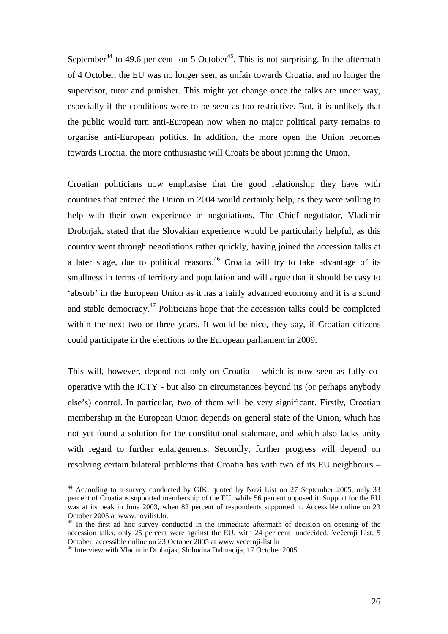September<sup>44</sup> to 49.6 per cent on 5 October<sup>45</sup>. This is not surprising. In the aftermath of 4 October, the EU was no longer seen as unfair towards Croatia, and no longer the supervisor, tutor and punisher. This might yet change once the talks are under way, especially if the conditions were to be seen as too restrictive. But, it is unlikely that the public would turn anti-European now when no major political party remains to organise anti-European politics. In addition, the more open the Union becomes towards Croatia, the more enthusiastic will Croats be about joining the Union.

Croatian politicians now emphasise that the good relationship they have with countries that entered the Union in 2004 would certainly help, as they were willing to help with their own experience in negotiations. The Chief negotiator, Vladimir Drobnjak, stated that the Slovakian experience would be particularly helpful, as this country went through negotiations rather quickly, having joined the accession talks at a later stage, due to political reasons.<sup>46</sup> Croatia will try to take advantage of its smallness in terms of territory and population and will argue that it should be easy to 'absorb' in the European Union as it has a fairly advanced economy and it is a sound and stable democracy.<sup> $47$ </sup> Politicians hope that the accession talks could be completed within the next two or three years. It would be nice, they say, if Croatian citizens could participate in the elections to the European parliament in 2009.

This will, however, depend not only on Croatia – which is now seen as fully cooperative with the ICTY - but also on circumstances beyond its (or perhaps anybody else's) control. In particular, two of them will be very significant. Firstly, Croatian membership in the European Union depends on general state of the Union, which has not yet found a solution for the constitutional stalemate, and which also lacks unity with regard to further enlargements. Secondly, further progress will depend on resolving certain bilateral problems that Croatia has with two of its EU neighbours –

<sup>&</sup>lt;sup>44</sup> According to a survey conducted by GfK, quoted by Novi List on 27 September 2005, only 33 percent of Croatians supported membership of the EU, while 56 percent opposed it. Support for the EU was at its peak in June 2003, when 82 percent of respondents supported it. Accessible online on 23 October 2005 at www.novilist.hr.

<sup>&</sup>lt;sup>45</sup> In the first ad hoc survey conducted in the immediate aftermath of decision on opening of the accession talks, only 25 percent were against the EU, with 24 per cent undecided. Večernji List, 5 October, accessible online on 23 October 2005 at www.vecernji-list.hr.

<sup>&</sup>lt;sup>46</sup> Interview with Vladimir Drobnjak, Slobodna Dalmacija, 17 October 2005.